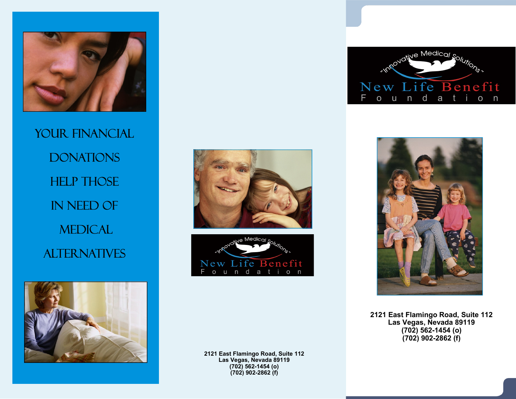

YOUR FINANCIAL **DONATIONS HELP THOSE** in Need Of **MEDICAL ALTERNATIVES** 











2121 East Flamingo Road, Suite 112 Las Vegas, Nevada 89119  $(70\bar{2})$  562-1454 (o)  $(702)$  902-2862 $(f)$